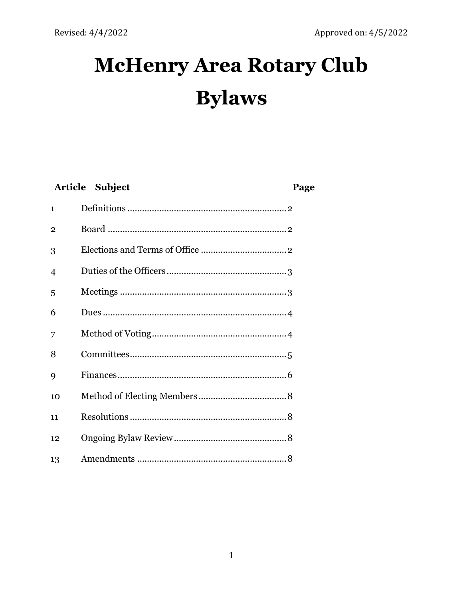# **McHenry Area Rotary Club Bylaws**

| Article Subject |  | Page |
|-----------------|--|------|
| $\mathbf{1}$    |  |      |
| $\mathbf{2}$    |  |      |
| 3               |  |      |
| 4               |  |      |
| 5               |  |      |
| 6               |  |      |
| 7               |  |      |
| 8               |  |      |
| 9               |  |      |
| 10              |  |      |
| 11              |  |      |
| 12              |  |      |
| 13              |  |      |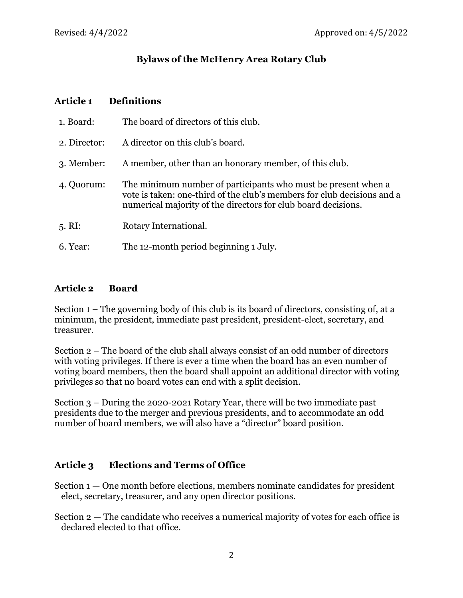# **Bylaws of the McHenry Area Rotary Club**

#### **Article 1 Definitions**

| 1. Board:         | The board of directors of this club.                                                                                                                                                                      |
|-------------------|-----------------------------------------------------------------------------------------------------------------------------------------------------------------------------------------------------------|
| 2. Director:      | A director on this club's board.                                                                                                                                                                          |
| 3. Member:        | A member, other than an honorary member, of this club.                                                                                                                                                    |
| 4. Quorum:        | The minimum number of participants who must be present when a<br>vote is taken: one-third of the club's members for club decisions and a<br>numerical majority of the directors for club board decisions. |
| $5. \mathrm{RI}:$ | Rotary International.                                                                                                                                                                                     |
| 6. Year:          | The 12-month period beginning 1 July.                                                                                                                                                                     |

#### **Article 2 Board**

Section 1 – The governing body of this club is its board of directors, consisting of, at a minimum, the president, immediate past president, president-elect, secretary, and treasurer.

Section 2 – The board of the club shall always consist of an odd number of directors with voting privileges. If there is ever a time when the board has an even number of voting board members, then the board shall appoint an additional director with voting privileges so that no board votes can end with a split decision.

Section 3 – During the 2020-2021 Rotary Year, there will be two immediate past presidents due to the merger and previous presidents, and to accommodate an odd number of board members, we will also have a "director" board position.

### **Article 3 Elections and Terms of Office**

- Section  $1 -$ One month before elections, members nominate candidates for president elect, secretary, treasurer, and any open director positions.
- Section 2 The candidate who receives a numerical majority of votes for each office is declared elected to that office.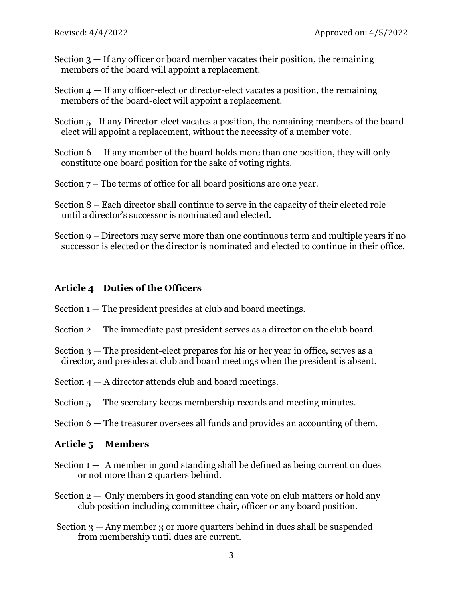- Section 3 If any officer or board member vacates their position, the remaining members of the board will appoint a replacement.
- Section  $4 -$  If any officer-elect or director-elect vacates a position, the remaining members of the board-elect will appoint a replacement.
- Section 5 If any Director-elect vacates a position, the remaining members of the board elect will appoint a replacement, without the necessity of a member vote.
- Section 6 If any member of the board holds more than one position, they will only constitute one board position for the sake of voting rights.
- Section 7 The terms of office for all board positions are one year.
- Section 8 Each director shall continue to serve in the capacity of their elected role until a director's successor is nominated and elected.
- Section 9 Directors may serve more than one continuous term and multiple years if no successor is elected or the director is nominated and elected to continue in their office.

#### **Article 4 Duties of the Officers**

- Section  $1 -$  The president presides at club and board meetings.
- Section 2 The immediate past president serves as a director on the club board.
- Section 3 The president-elect prepares for his or her year in office, serves as a director, and presides at club and board meetings when the president is absent.
- Section  $4 A$  director attends club and board meetings.
- Section  $5$  The secretary keeps membership records and meeting minutes.
- Section 6 The treasurer oversees all funds and provides an accounting of them.

#### **Article 5 Members**

- Section  $1 A$  member in good standing shall be defined as being current on dues or not more than 2 quarters behind.
- Section  $2 -$  Only members in good standing can vote on club matters or hold any club position including committee chair, officer or any board position.
- Section 3 Any member 3 or more quarters behind in dues shall be suspended from membership until dues are current.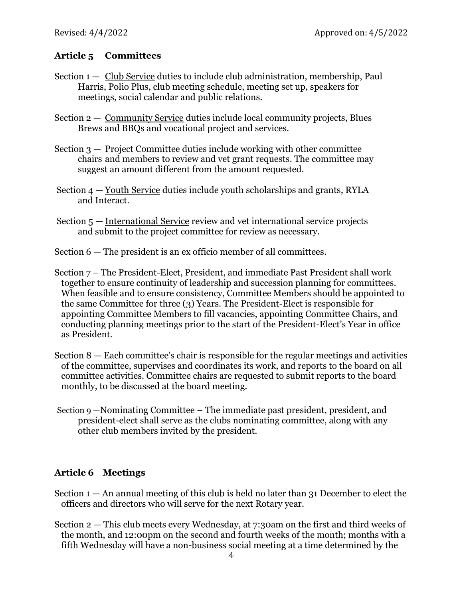# **Article 5 Committees**

- Section  $1 -$  Club Service duties to include club administration, membership, Paul Harris, Polio Plus, club meeting schedule, meeting set up, speakers for meetings, social calendar and public relations.
- Section 2 Community Service duties include local community projects, Blues Brews and BBQs and vocational project and services.
- Section 3 Project Committee duties include working with other committee chairs and members to review and vet grant requests. The committee may suggest an amount different from the amount requested.
- Section 4 Youth Service duties include youth scholarships and grants, RYLA and Interact.
- Section 5 International Service review and vet international service projects and submit to the project committee for review as necessary.
- Section 6 The president is an ex officio member of all committees.
- Section 7 The President-Elect, President, and immediate Past President shall work together to ensure continuity of leadership and succession planning for committees. When feasible and to ensure consistency, Committee Members should be appointed to the same Committee for three (3) Years. The President-Elect is responsible for appointing Committee Members to fill vacancies, appointing Committee Chairs, and conducting planning meetings prior to the start of the President-Elect's Year in office as President.
- Section 8 Each committee's chair is responsible for the regular meetings and activities of the committee, supervises and coordinates its work, and reports to the board on all committee activities. Committee chairs are requested to submit reports to the board monthly, to be discussed at the board meeting.
- Section 9 —Nominating Committee The immediate past president, president, and president-elect shall serve as the clubs nominating committee, along with any other club members invited by the president.

# **Article 6 Meetings**

Section  $1 - An$  annual meeting of this club is held no later than 31 December to elect the officers and directors who will serve for the next Rotary year.

Section 2 — This club meets every Wednesday, at 7:30am on the first and third weeks of the month, and 12:00pm on the second and fourth weeks of the month; months with a fifth Wednesday will have a non-business social meeting at a time determined by the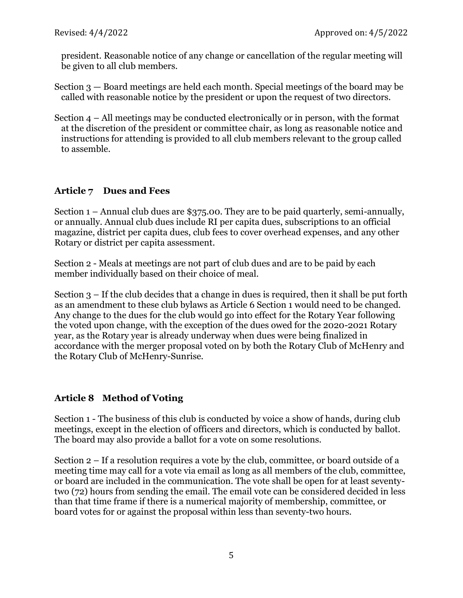president. Reasonable notice of any change or cancellation of the regular meeting will be given to all club members.

- Section 3 Board meetings are held each month. Special meetings of the board may be called with reasonable notice by the president or upon the request of two directors.
- Section 4 All meetings may be conducted electronically or in person, with the format at the discretion of the president or committee chair, as long as reasonable notice and instructions for attending is provided to all club members relevant to the group called to assemble.

# **Article 7 Dues and Fees**

Section 1 – Annual club dues are \$375.00. They are to be paid quarterly, semi-annually, or annually. Annual club dues include RI per capita dues, subscriptions to an official magazine, district per capita dues, club fees to cover overhead expenses, and any other Rotary or district per capita assessment.

Section 2 - Meals at meetings are not part of club dues and are to be paid by each member individually based on their choice of meal.

Section 3 – If the club decides that a change in dues is required, then it shall be put forth as an amendment to these club bylaws as Article 6 Section 1 would need to be changed. Any change to the dues for the club would go into effect for the Rotary Year following the voted upon change, with the exception of the dues owed for the 2020-2021 Rotary year, as the Rotary year is already underway when dues were being finalized in accordance with the merger proposal voted on by both the Rotary Club of McHenry and the Rotary Club of McHenry-Sunrise.

# **Article 8 Method of Voting**

Section 1 - The business of this club is conducted by voice a show of hands, during club meetings, except in the election of officers and directors, which is conducted by ballot. The board may also provide a ballot for a vote on some resolutions.

Section 2 – If a resolution requires a vote by the club, committee, or board outside of a meeting time may call for a vote via email as long as all members of the club, committee, or board are included in the communication. The vote shall be open for at least seventytwo (72) hours from sending the email. The email vote can be considered decided in less than that time frame if there is a numerical majority of membership, committee, or board votes for or against the proposal within less than seventy-two hours.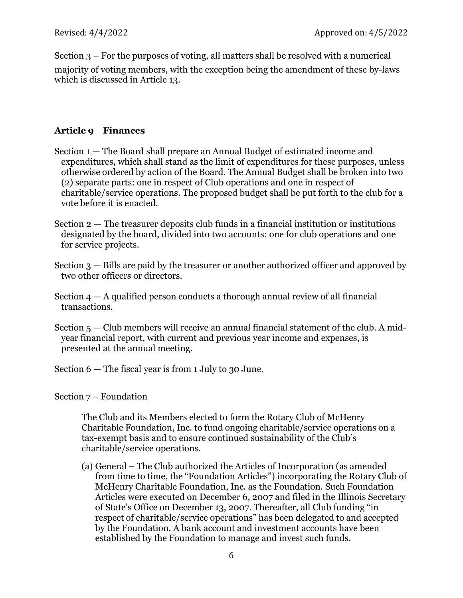Section 3 – For the purposes of voting, all matters shall be resolved with a numerical majority of voting members, with the exception being the amendment of these by-laws which is discussed in Article 13.

## **Article 9 Finances**

- Section 1 The Board shall prepare an Annual Budget of estimated income and expenditures, which shall stand as the limit of expenditures for these purposes, unless otherwise ordered by action of the Board. The Annual Budget shall be broken into two (2) separate parts: one in respect of Club operations and one in respect of charitable/service operations. The proposed budget shall be put forth to the club for a vote before it is enacted.
- Section 2 The treasurer deposits club funds in a financial institution or institutions designated by the board, divided into two accounts: one for club operations and one for service projects.
- Section 3 Bills are paid by the treasurer or another authorized officer and approved by two other officers or directors.
- Section  $4 A$  qualified person conducts a thorough annual review of all financial transactions.
- Section 5 Club members will receive an annual financial statement of the club. A midyear financial report, with current and previous year income and expenses, is presented at the annual meeting.
- Section 6 The fiscal year is from 1 July to 30 June.

Section 7 – Foundation

The Club and its Members elected to form the Rotary Club of McHenry Charitable Foundation, Inc. to fund ongoing charitable/service operations on a tax-exempt basis and to ensure continued sustainability of the Club's charitable/service operations.

(a) General – The Club authorized the Articles of Incorporation (as amended from time to time, the "Foundation Articles") incorporating the Rotary Club of McHenry Charitable Foundation, Inc. as the Foundation. Such Foundation Articles were executed on December 6, 2007 and filed in the Illinois Secretary of State's Office on December 13, 2007. Thereafter, all Club funding "in respect of charitable/service operations" has been delegated to and accepted by the Foundation. A bank account and investment accounts have been established by the Foundation to manage and invest such funds.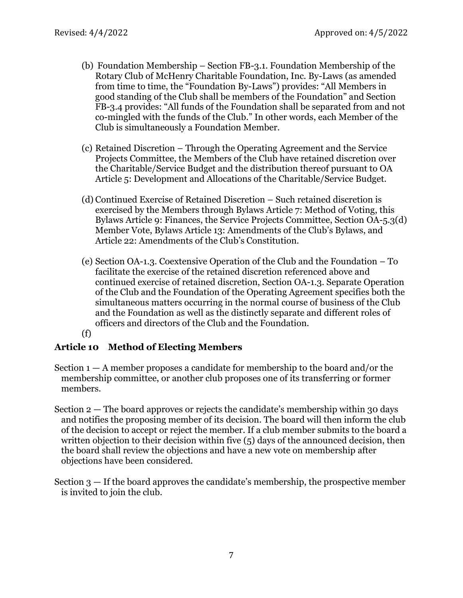- (b) Foundation Membership Section FB-3.1. Foundation Membership of the Rotary Club of McHenry Charitable Foundation, Inc. By-Laws (as amended from time to time, the "Foundation By-Laws") provides: "All Members in good standing of the Club shall be members of the Foundation" and Section FB-3.4 provides: "All funds of the Foundation shall be separated from and not co-mingled with the funds of the Club." In other words, each Member of the Club is simultaneously a Foundation Member.
- (c) Retained Discretion Through the Operating Agreement and the Service Projects Committee, the Members of the Club have retained discretion over the Charitable/Service Budget and the distribution thereof pursuant to OA Article 5: Development and Allocations of the Charitable/Service Budget.
- (d) Continued Exercise of Retained Discretion Such retained discretion is exercised by the Members through Bylaws Article 7: Method of Voting, this Bylaws Article 9: Finances, the Service Projects Committee, Section OA-5.3(d) Member Vote, Bylaws Article 13: Amendments of the Club's Bylaws, and Article 22: Amendments of the Club's Constitution.
- (e) Section OA-1.3. Coextensive Operation of the Club and the Foundation To facilitate the exercise of the retained discretion referenced above and continued exercise of retained discretion, Section OA-1.3. Separate Operation of the Club and the Foundation of the Operating Agreement specifies both the simultaneous matters occurring in the normal course of business of the Club and the Foundation as well as the distinctly separate and different roles of officers and directors of the Club and the Foundation.

#### (f)

### **Article 10 Method of Electing Members**

- Section  $1 A$  member proposes a candidate for membership to the board and/or the membership committee, or another club proposes one of its transferring or former members.
- Section 2 The board approves or rejects the candidate's membership within 30 days and notifies the proposing member of its decision. The board will then inform the club of the decision to accept or reject the member. If a club member submits to the board a written objection to their decision within five (5) days of the announced decision, then the board shall review the objections and have a new vote on membership after objections have been considered.
- Section 3 If the board approves the candidate's membership, the prospective member is invited to join the club.